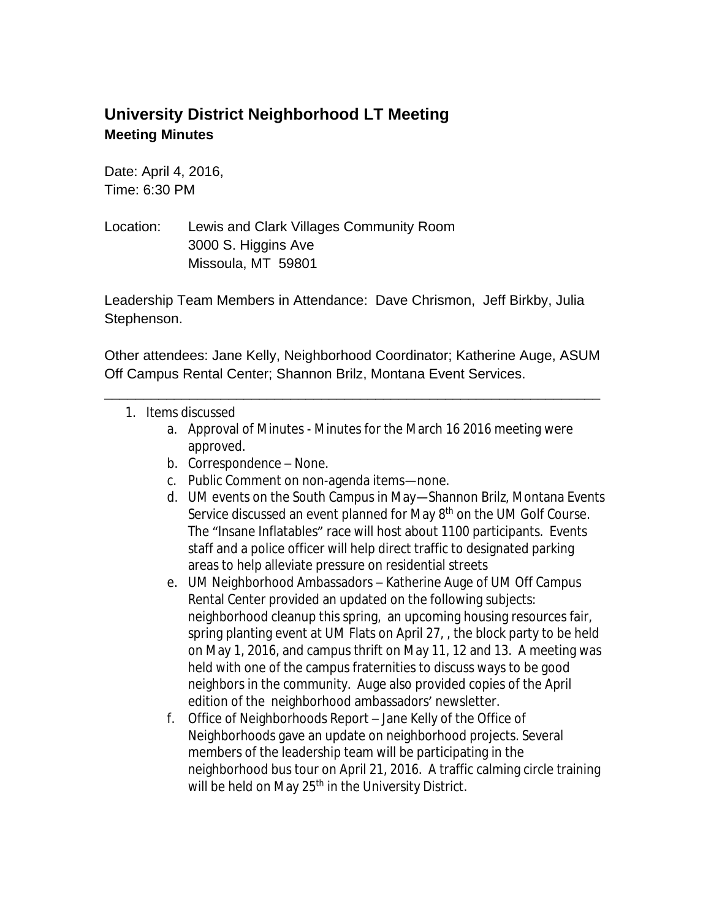## **University District Neighborhood LT Meeting Meeting Minutes**

Date: April 4, 2016, Time: 6:30 PM

Location: Lewis and Clark Villages Community Room 3000 S. Higgins Ave Missoula, MT 59801

Leadership Team Members in Attendance: Dave Chrismon, Jeff Birkby, Julia Stephenson.

Other attendees: Jane Kelly, Neighborhood Coordinator; Katherine Auge, ASUM Off Campus Rental Center; Shannon Brilz, Montana Event Services.

\_\_\_\_\_\_\_\_\_\_\_\_\_\_\_\_\_\_\_\_\_\_\_\_\_\_\_\_\_\_\_\_\_\_\_\_\_\_\_\_\_\_\_\_\_\_\_\_\_\_\_\_\_\_\_\_\_\_\_\_\_\_\_\_

- 1. Items discussed
	- a. Approval of Minutes Minutes for the March 16 2016 meeting were approved.
	- b. Correspondence None.
	- c. Public Comment on non-agenda items—none.
	- d. UM events on the South Campus in May—Shannon Brilz, Montana Events Service discussed an event planned for May 8<sup>th</sup> on the UM Golf Course. The "Insane Inflatables" race will host about 1100 participants. Events staff and a police officer will help direct traffic to designated parking areas to help alleviate pressure on residential streets
	- e. UM Neighborhood Ambassadors Katherine Auge of UM Off Campus Rental Center provided an updated on the following subjects: neighborhood cleanup this spring, an upcoming housing resources fair, spring planting event at UM Flats on April 27, , the block party to be held on May 1, 2016, and campus thrift on May 11, 12 and 13. A meeting was held with one of the campus fraternities to discuss ways to be good neighbors in the community. Auge also provided copies of the April edition of the neighborhood ambassadors' newsletter.
	- f. Office of Neighborhoods Report Jane Kelly of the Office of Neighborhoods gave an update on neighborhood projects. Several members of the leadership team will be participating in the neighborhood bus tour on April 21, 2016. A traffic calming circle training will be held on May 25<sup>th</sup> in the University District.